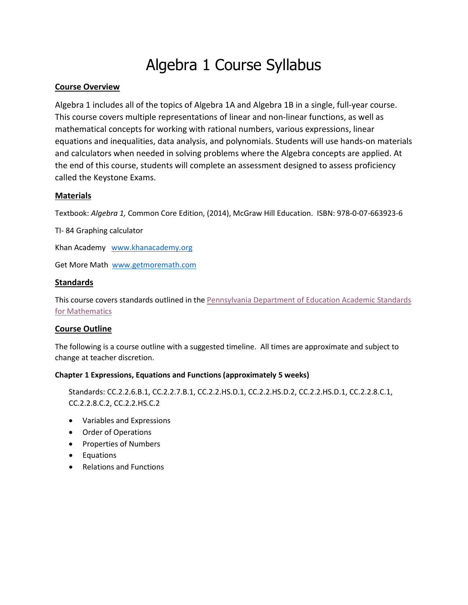# Algebra 1 Course Syllabus

# **Course Overview**

Algebra 1 includes all of the topics of Algebra 1A and Algebra 1B in a single, full-year course. This course covers multiple representations of linear and non-linear functions, as well as mathematical concepts for working with rational numbers, various expressions, linear equations and inequalities, data analysis, and polynomials. Students will use hands-on materials and calculators when needed in solving problems where the Algebra concepts are applied. At the end of this course, students will complete an assessment designed to assess proficiency called the Keystone Exams.

# **Materials**

Textbook: *Algebra 1,* Common Core Edition, (2014), McGraw Hill Education. ISBN: 978-0-07-663923-6

TI- 84 Graphing calculator

Khan Academy [www.khanacademy.org](http://www.khanacademy.org/)

Get More Math [www.getmoremath.com](http://www.getmoremath.com/)

# **Standards**

This course covers standards outlined in the Pennsylvania Department of Education Academic Standards for Mathematics

# **Course Outline**

The following is a course outline with a suggested timeline. All times are approximate and subject to change at teacher discretion.

# **Chapter 1 Expressions, Equations and Functions (approximately 5 weeks)**

Standards: CC.2.2.6.B.1, CC.2.2.7.B.1, CC.2.2.HS.D.1, CC.2.2.HS.D.2, CC.2.2.HS.D.1, CC.2.2.8.C.1, CC.2.2.8.C.2, CC.2.2.HS.C.2

- Variables and Expressions
- Order of Operations
- Properties of Numbers
- Equations
- Relations and Functions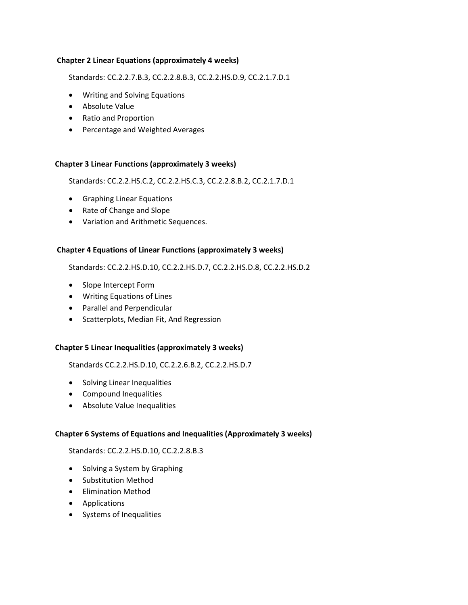## **Chapter 2 Linear Equations (approximately 4 weeks)**

Standards: CC.2.2.7.B.3, CC.2.2.8.B.3, CC.2.2.HS.D.9, CC.2.1.7.D.1

- Writing and Solving Equations
- Absolute Value
- Ratio and Proportion
- Percentage and Weighted Averages

#### **Chapter 3 Linear Functions (approximately 3 weeks)**

Standards: CC.2.2.HS.C.2, CC.2.2.HS.C.3, CC.2.2.8.B.2, CC.2.1.7.D.1

- Graphing Linear Equations
- Rate of Change and Slope
- Variation and Arithmetic Sequences.

#### **Chapter 4 Equations of Linear Functions (approximately 3 weeks)**

Standards: CC.2.2.HS.D.10, CC.2.2.HS.D.7, CC.2.2.HS.D.8, CC.2.2.HS.D.2

- Slope Intercept Form
- Writing Equations of Lines
- Parallel and Perpendicular
- Scatterplots, Median Fit, And Regression

#### **Chapter 5 Linear Inequalities (approximately 3 weeks)**

Standards CC.2.2.HS.D.10, CC.2.2.6.B.2, CC.2.2.HS.D.7

- Solving Linear Inequalities
- Compound Inequalities
- Absolute Value Inequalities

# **Chapter 6 Systems of Equations and Inequalities (Approximately 3 weeks)**

Standards: CC.2.2.HS.D.10, CC.2.2.8.B.3

- Solving a System by Graphing
- Substitution Method
- Elimination Method
- Applications
- Systems of Inequalities